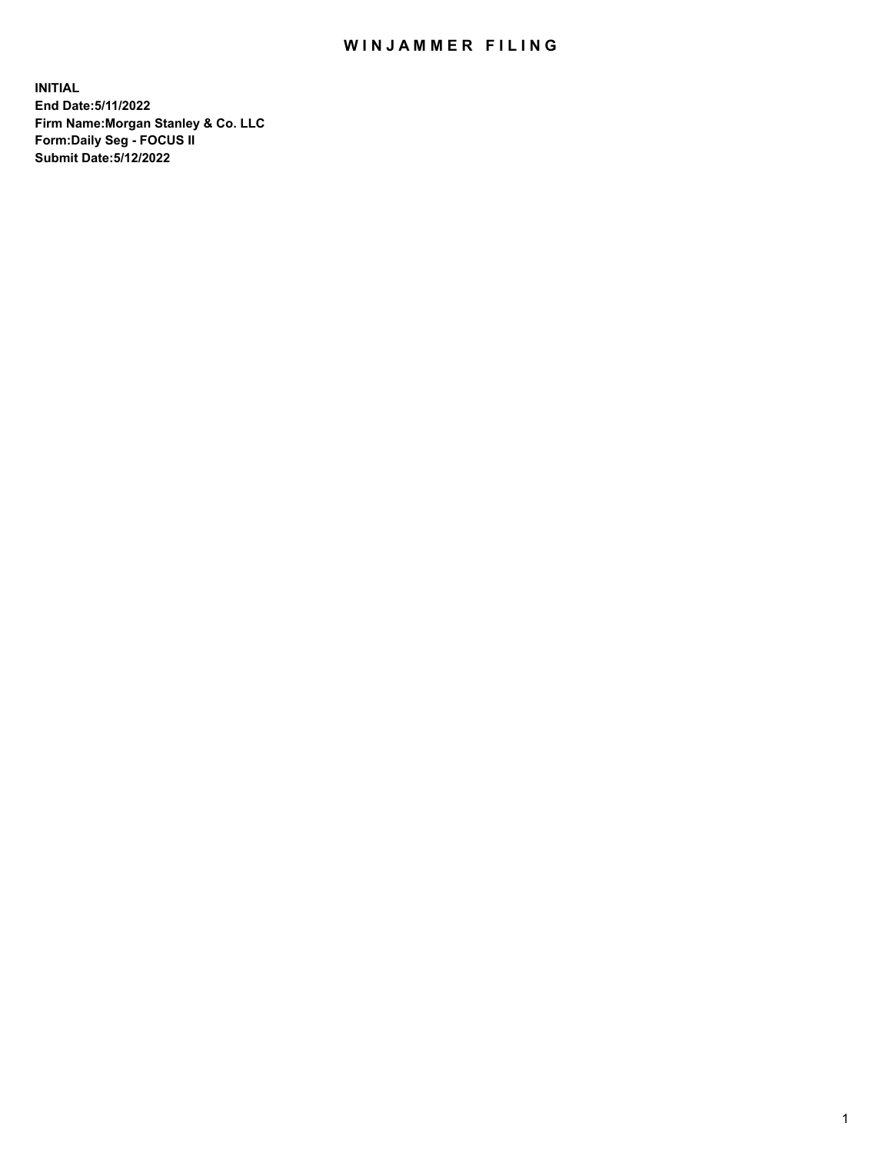## WIN JAMMER FILING

**INITIAL End Date:5/11/2022 Firm Name:Morgan Stanley & Co. LLC Form:Daily Seg - FOCUS II Submit Date:5/12/2022**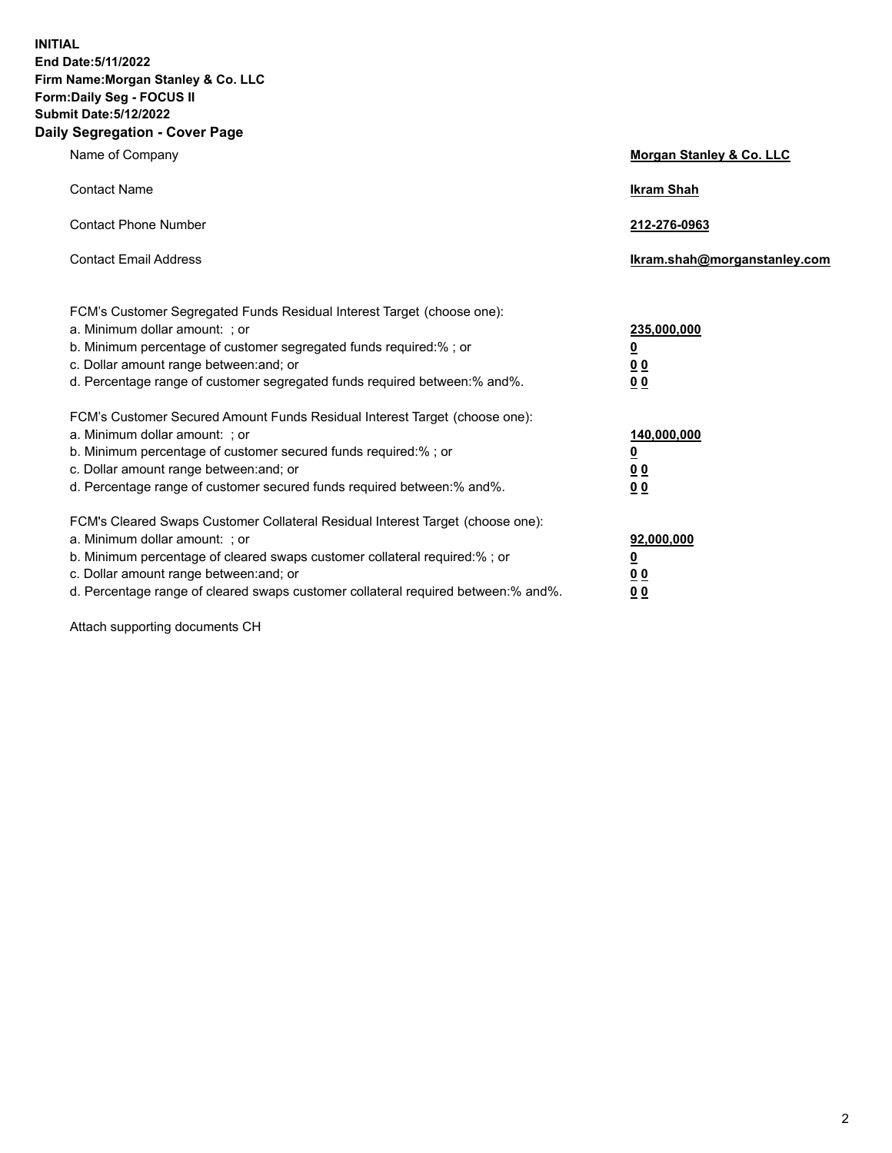**INITIAL End Date:5/11/2022 Firm Name:Morgan Stanley & Co. LLC Form:Daily Seg - FOCUS II Submit Date:5/12/2022 Daily Segregation - Cover Page**

| Name of Company                                                                                                                                                                                                                                                                                                                | <b>Morgan Stanley &amp; Co. LLC</b>                    |
|--------------------------------------------------------------------------------------------------------------------------------------------------------------------------------------------------------------------------------------------------------------------------------------------------------------------------------|--------------------------------------------------------|
| <b>Contact Name</b>                                                                                                                                                                                                                                                                                                            | <b>Ikram Shah</b>                                      |
| <b>Contact Phone Number</b>                                                                                                                                                                                                                                                                                                    | 212-276-0963                                           |
| <b>Contact Email Address</b>                                                                                                                                                                                                                                                                                                   | Ikram.shah@morganstanley.com                           |
| FCM's Customer Segregated Funds Residual Interest Target (choose one):<br>a. Minimum dollar amount: : or<br>b. Minimum percentage of customer segregated funds required:%; or<br>c. Dollar amount range between: and; or<br>d. Percentage range of customer segregated funds required between:% and%.                          | 235,000,000<br><u>0</u><br><u>00</u><br><u>00</u>      |
| FCM's Customer Secured Amount Funds Residual Interest Target (choose one):<br>a. Minimum dollar amount: ; or<br>b. Minimum percentage of customer secured funds required:%; or<br>c. Dollar amount range between: and; or<br>d. Percentage range of customer secured funds required between:% and%.                            | 140,000,000<br><u>0</u><br><u>00</u><br>0 <sub>0</sub> |
| FCM's Cleared Swaps Customer Collateral Residual Interest Target (choose one):<br>a. Minimum dollar amount: ; or<br>b. Minimum percentage of cleared swaps customer collateral required:% ; or<br>c. Dollar amount range between: and; or<br>d. Percentage range of cleared swaps customer collateral required between:% and%. | 92,000,000<br><u>0</u><br><u>00</u><br>00              |

Attach supporting documents CH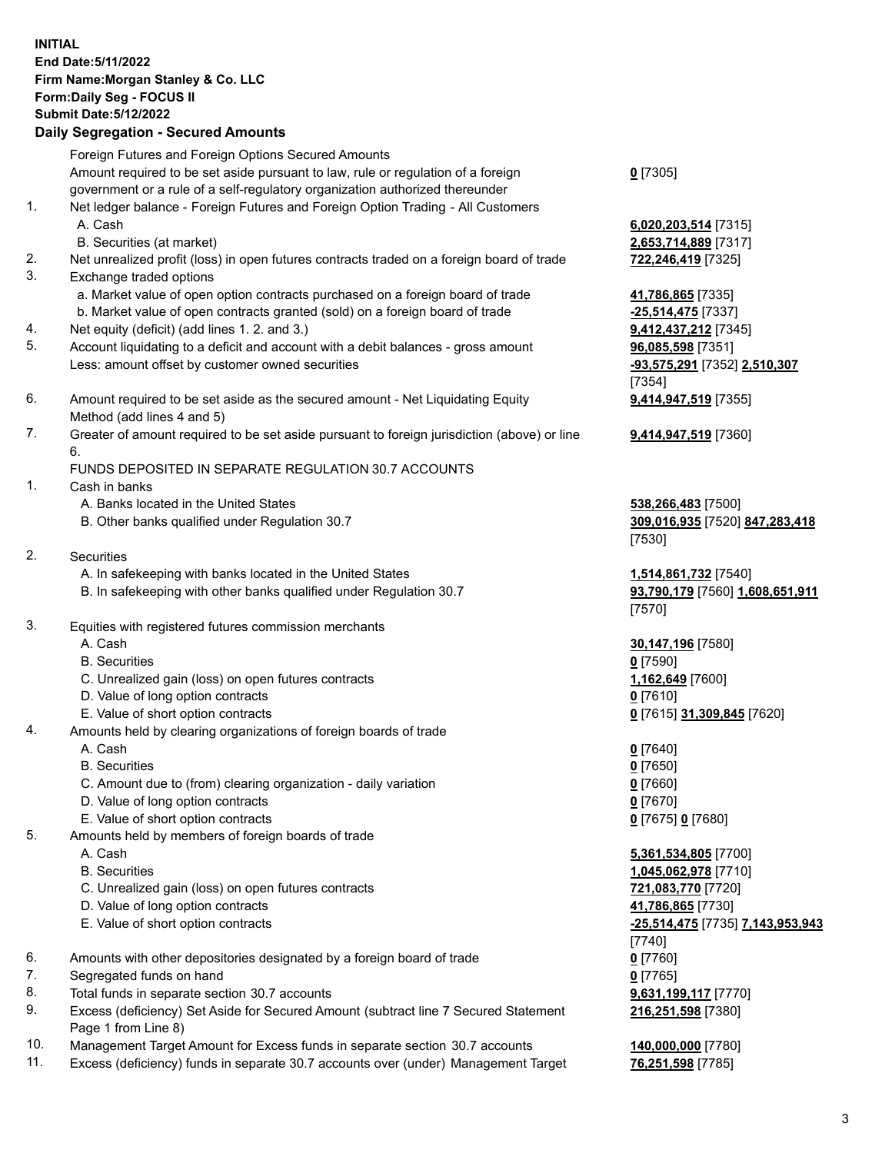## **INITIAL End Date:5/11/2022 Firm Name:Morgan Stanley & Co. LLC Form:Daily Seg - FOCUS II Submit Date:5/12/2022**

## **Daily Segregation - Secured Amounts**

Foreign Futures and Foreign Options Secured Amounts Amount required to be set aside pursuant to law, rule or regulation of a foreign government or a rule of a self-regulatory organization authorized thereunder 1. Net ledger balance - Foreign Futures and Foreign Option Trading - All Customers A. Cash **6,020,203,514** [7315] B. Securities (at market) **2,653,714,889** [7317] 2. Net unrealized profit (loss) in open futures contracts traded on a foreign board of trade **722,246,419** [7325] 3. Exchange traded options a. Market value of open option contracts purchased on a foreign board of trade **41,786,865** [7335] b. Market value of open contracts granted (sold) on a foreign board of trade **-25,514,475** [7337] 4. Net equity (deficit) (add lines 1. 2. and 3.) **9,412,437,212** [7345] 5. Account liquidating to a deficit and account with a debit balances - gross amount **96,085,598** [7351] Less: amount offset by customer owned securities **-93,575,291** [7352] **2,510,307** 6. Amount required to be set aside as the secured amount - Net Liquidating Equity Method (add lines 4 and 5) 7. Greater of amount required to be set aside pursuant to foreign jurisdiction (above) or line 6. FUNDS DEPOSITED IN SEPARATE REGULATION 30.7 ACCOUNTS 1. Cash in banks A. Banks located in the United States **538,266,483** [7500] B. Other banks qualified under Regulation 30.7 **309,016,935** [7520] **847,283,418**

- 2. Securities
	- A. In safekeeping with banks located in the United States **1,514,861,732** [7540]
	- B. In safekeeping with other banks qualified under Regulation 30.7 **93,790,179** [7560] **1,608,651,911**
- 3. Equities with registered futures commission merchants
	-
	- B. Securities **0** [7590]
	- C. Unrealized gain (loss) on open futures contracts **1,162,649** [7600]
	- D. Value of long option contracts **0** [7610]
	- E. Value of short option contracts **0** [7615] **31,309,845** [7620]
- 4. Amounts held by clearing organizations of foreign boards of trade
	-
	- B. Securities **0** [7650]
	- C. Amount due to (from) clearing organization daily variation **0** [7660]
	- D. Value of long option contracts **0** [7670]
	- E. Value of short option contracts **0** [7675] **0** [7680]
- 5. Amounts held by members of foreign boards of trade
	-
	-
	- C. Unrealized gain (loss) on open futures contracts **721,083,770** [7720]
	- D. Value of long option contracts **41,786,865** [7730]
	-
- 6. Amounts with other depositories designated by a foreign board of trade **0** [7760]
- 7. Segregated funds on hand **0** [7765]
- 8. Total funds in separate section 30.7 accounts **9,631,199,117** [7770]
- 9. Excess (deficiency) Set Aside for Secured Amount (subtract line 7 Secured Statement Page 1 from Line 8)
- 10. Management Target Amount for Excess funds in separate section 30.7 accounts **140,000,000** [7780]
- 11. Excess (deficiency) funds in separate 30.7 accounts over (under) Management Target **76,251,598** [7785]

**0** [7305]

[7354] **9,414,947,519** [7355]

**9,414,947,519** [7360]

[7530]

[7570]

A. Cash **30,147,196** [7580]

A. Cash **0** [7640]

 A. Cash **5,361,534,805** [7700] B. Securities **1,045,062,978** [7710] E. Value of short option contracts **-25,514,475** [7735] **7,143,953,943** [7740] **216,251,598** [7380]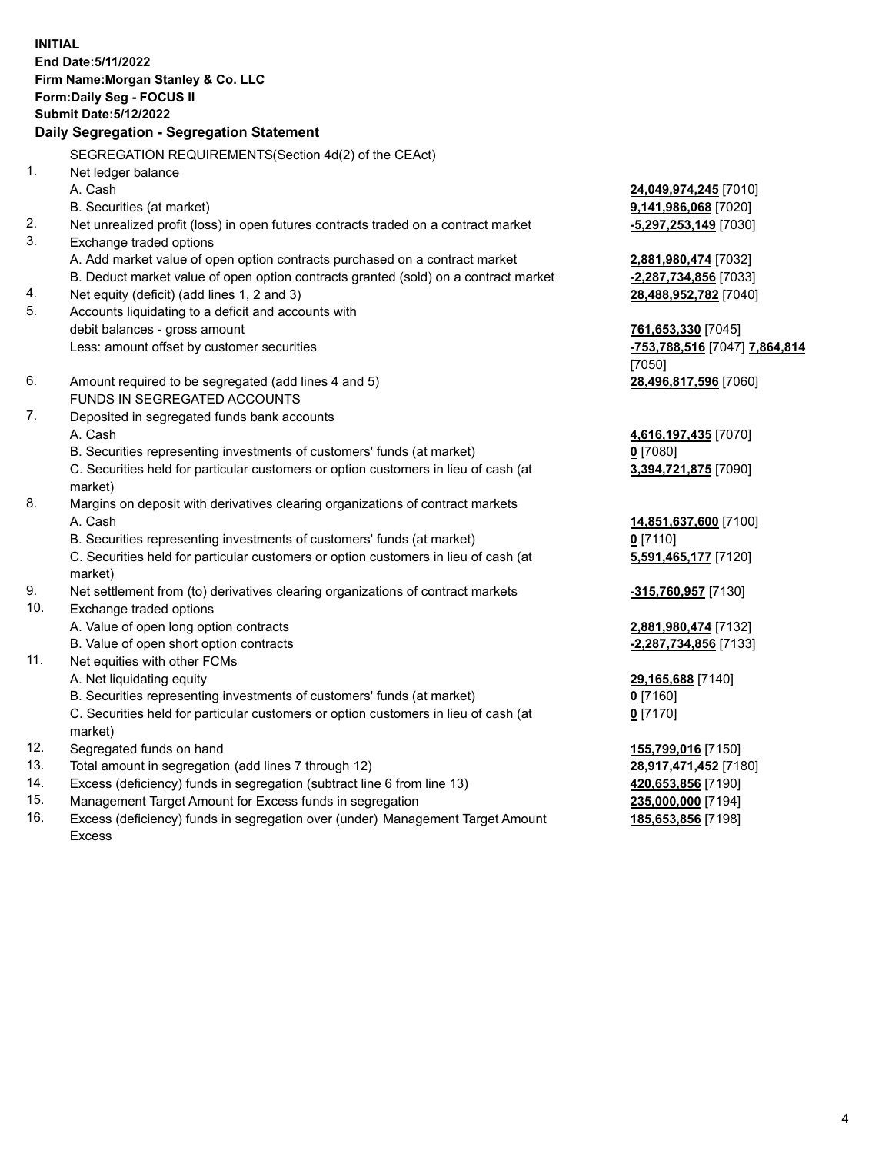**INITIAL End Date:5/11/2022 Firm Name:Morgan Stanley & Co. LLC Form:Daily Seg - FOCUS II Submit Date:5/12/2022 Daily Segregation - Segregation Statement** SEGREGATION REQUIREMENTS(Section 4d(2) of the CEAct) 1. Net ledger balance A. Cash **24,049,974,245** [7010] B. Securities (at market) **9,141,986,068** [7020] 2. Net unrealized profit (loss) in open futures contracts traded on a contract market **-5,297,253,149** [7030] 3. Exchange traded options A. Add market value of open option contracts purchased on a contract market **2,881,980,474** [7032] B. Deduct market value of open option contracts granted (sold) on a contract market **-2,287,734,856** [7033] 4. Net equity (deficit) (add lines 1, 2 and 3) **28,488,952,782** [7040] 5. Accounts liquidating to a deficit and accounts with debit balances - gross amount **761,653,330** [7045] Less: amount offset by customer securities **-753,788,516** [7047] **7,864,814** [7050] 6. Amount required to be segregated (add lines 4 and 5) **28,496,817,596** [7060] FUNDS IN SEGREGATED ACCOUNTS 7. Deposited in segregated funds bank accounts A. Cash **4,616,197,435** [7070] B. Securities representing investments of customers' funds (at market) **0** [7080] C. Securities held for particular customers or option customers in lieu of cash (at market) **3,394,721,875** [7090] 8. Margins on deposit with derivatives clearing organizations of contract markets A. Cash **14,851,637,600** [7100] B. Securities representing investments of customers' funds (at market) **0** [7110] C. Securities held for particular customers or option customers in lieu of cash (at market) **5,591,465,177** [7120] 9. Net settlement from (to) derivatives clearing organizations of contract markets **-315,760,957** [7130] 10. Exchange traded options A. Value of open long option contracts **2,881,980,474** [7132] B. Value of open short option contracts **-2,287,734,856** [7133] 11. Net equities with other FCMs A. Net liquidating equity **29,165,688** [7140] B. Securities representing investments of customers' funds (at market) **0** [7160] C. Securities held for particular customers or option customers in lieu of cash (at market) **0** [7170] 12. Segregated funds on hand **155,799,016** [7150] 13. Total amount in segregation (add lines 7 through 12) **28,917,471,452** [7180] 14. Excess (deficiency) funds in segregation (subtract line 6 from line 13) **420,653,856** [7190]

- 15. Management Target Amount for Excess funds in segregation **235,000,000** [7194]
- 16. Excess (deficiency) funds in segregation over (under) Management Target Amount Excess

**185,653,856** [7198]